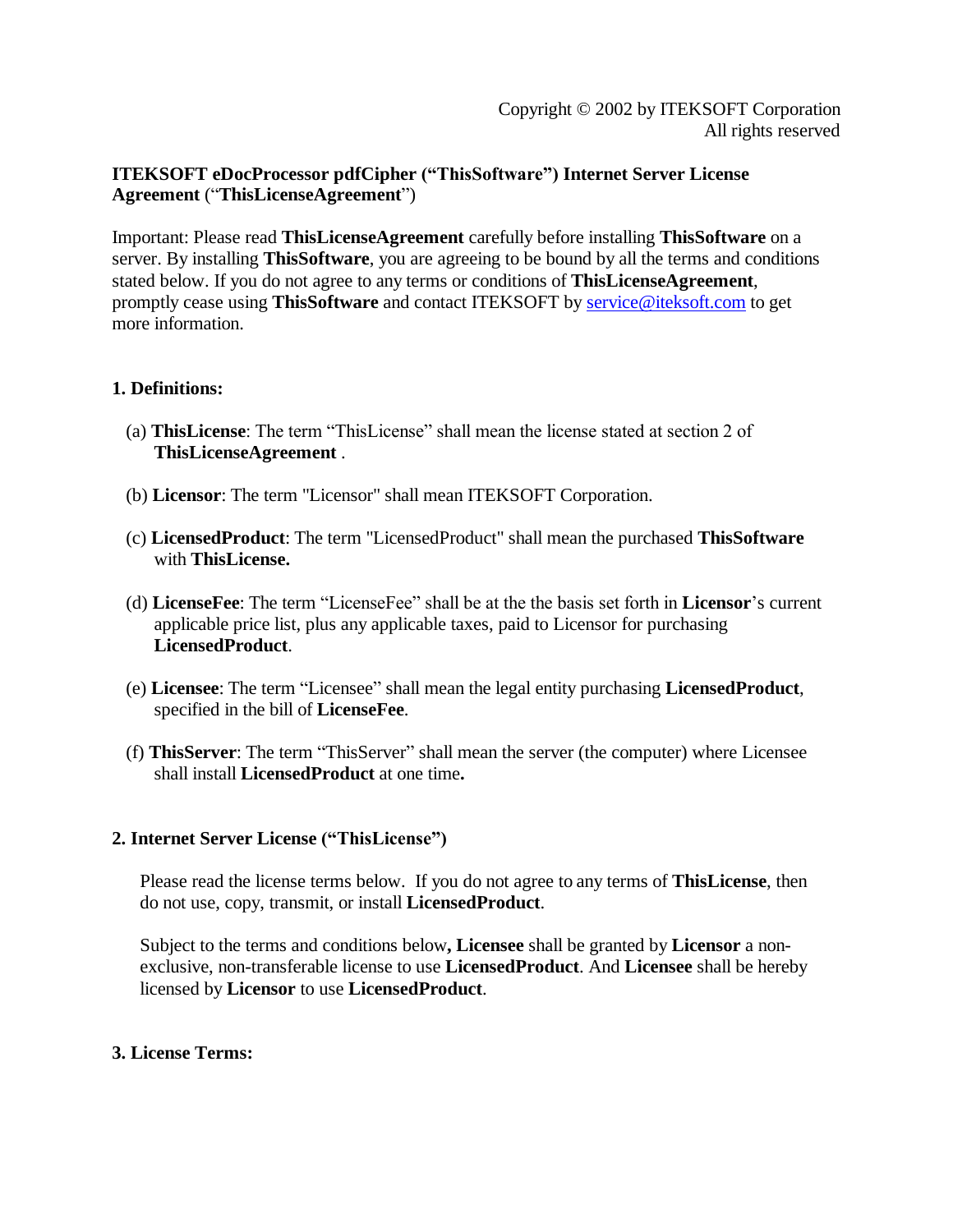## **ITEKSOFT eDocProcessor pdfCipher ("ThisSoftware") Internet Server License Agreement** ("**ThisLicenseAgreement**")

Important: Please read **ThisLicenseAgreement** carefully before installing **ThisSoftware** on a server. By installing **ThisSoftware**, you are agreeing to be bound by all the terms and conditions stated below. If you do not agree to any terms or conditions of **ThisLicenseAgreement**, promptly cease using **ThisSoftware** and contact ITEKSOFT by service@iteksoft.com to get more information.

## **1. Definitions:**

- (a) **ThisLicense**: The term "ThisLicense" shall mean the license stated at section 2 of **ThisLicenseAgreement** .
- (b) **Licensor**: The term "Licensor" shall mean ITEKSOFT Corporation.
- (c) **LicensedProduct**: The term "LicensedProduct" shall mean the purchased **ThisSoftware** with **ThisLicense.**
- (d) **LicenseFee**: The term "LicenseFee" shall be at the the basis set forth in **Licensor**'s current applicable price list, plus any applicable taxes, paid to Licensor for purchasing **LicensedProduct**.
- (e) **Licensee**: The term "Licensee" shall mean the legal entity purchasing **LicensedProduct**, specified in the bill of **LicenseFee**.
- (f) **ThisServer**: The term "ThisServer" shall mean the server (the computer) where Licensee shall install **LicensedProduct** at one time**.**

# **2. Internet Server License ("ThisLicense")**

Please read the license terms below. If you do not agree to any terms of **ThisLicense**, then do not use, copy, transmit, or install **LicensedProduct**.

Subject to the terms and conditions below**, Licensee** shall be granted by **Licensor** a nonexclusive, non-transferable license to use **LicensedProduct**. And **Licensee** shall be hereby licensed by **Licensor** to use **LicensedProduct**.

## **3. License Terms:**